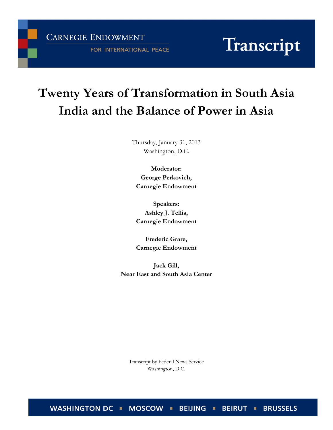**CARNEGIE ENDOWMENT** 

FOR INTERNATIONAL PEACE

# Transcript

# **Twenty Years of Transformation in South Asia India and the Balance of Power in Asia**

Thursday, January 31, 2013 Washington, D.C.

**Moderator: George Perkovich, Carnegie Endowment**

**Speakers: Ashley J. Tellis, Carnegie Endowment**

**Frederic Grare, Carnegie Endowment**

**Jack Gill, Near East and South Asia Center**

Transcript by Federal News Service Washington, D.C.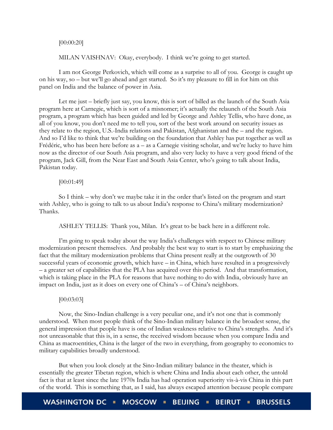#### [00:00:20]

MILAN VAISHNAV: Okay, everybody. I think we're going to get started.

I am not George Perkovich, which will come as a surprise to all of you. George is caught up on his way, so – but we'll go ahead and get started. So it's my pleasure to fill in for him on this panel on India and the balance of power in Asia.

Let me just – briefly just say, you know, this is sort of billed as the launch of the South Asia program here at Carnegie, which is sort of a misnomer; it's actually the relaunch of the South Asia program, a program which has been guided and led by George and Ashley Tellis, who have done, as all of you know, you don't need me to tell you, sort of the best work around on security issues as they relate to the region, U.S.-India relations and Pakistan, Afghanistan and the – and the region. And so I'd like to think that we're building on the foundation that Ashley has put together as well as Frédéric, who has been here before as a – as a Carnegie visiting scholar, and we're lucky to have him now as the director of our South Asia program, and also very lucky to have a very good friend of the program, Jack Gill, from the Near East and South Asia Center, who's going to talk about India, Pakistan today.

# [00:01:49]

So I think – why don't we maybe take it in the order that's listed on the program and start with Ashley, who is going to talk to us about India's response to China's military modernization? Thanks.

ASHLEY TELLIS: Thank you, Milan. It's great to be back here in a different role.

I'm going to speak today about the way India's challenges with respect to Chinese military modernization present themselves. And probably the best way to start is to start by emphasizing the fact that the military modernization problems that China present really at the outgrowth of 30 successful years of economic growth, which have – in China, which have resulted in a progressively – a greater set of capabilities that the PLA has acquired over this period. And that transformation, which is taking place in the PLA for reasons that have nothing to do with India, obviously have an impact on India, just as it does on every one of China's – of China's neighbors.

#### [00:03:03]

Now, the Sino-Indian challenge is a very peculiar one, and it's not one that is commonly understood. When most people think of the Sino-Indian military balance in the broadest sense, the general impression that people have is one of Indian weakness relative to China's strengths. And it's not unreasonable that this is, in a sense, the received wisdom because when you compare India and China as macroentities, China is the larger of the two in everything, from geography to economics to military capabilities broadly understood.

But when you look closely at the Sino-Indian military balance in the theater, which is essentially the greater Tibetan region, which is where China and India about each other, the untold fact is that at least since the late 1970s India has had operation superiority vis-à-vis China in this part of the world. This is something that, as I said, has always escaped attention because people compare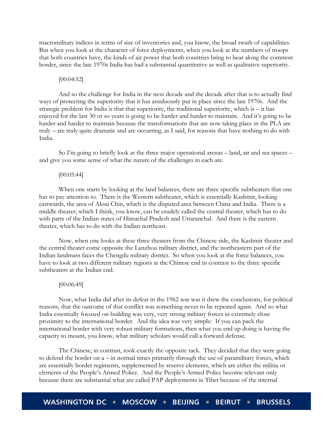macromilitary indices in terms of size of inventories and, you know, the broad swath of capabilities. But when you look at the character of force deployments, when you look at the numbers of troops that both countries have, the kinds of air power that both countries bring to bear along the common border, since the late 1970s India has had a substantial quantitative as well as qualitative superiority.

#### [00:04:52]

And so the challenge for India in the next decade and the decade after that is to actually find ways of protecting the superiority that it has assiduously put in place since the late 1970s. And the strategic problem for India is that that superiority, the traditional superiority, which is – it has enjoyed for the last 30 or so years is going to be harder and harder to maintain. And it's going to be harder and harder to maintain because the transformations that are now taking place in the PLA are truly – are truly quite dramatic and are occurring, as I said, for reasons that have nothing to do with India.

So I'm going to briefly look at the three major operational arenas – land, air and sea spaces – and give you some sense of what the nature of the challenges in each are.

#### [00:05:44]

When one starts by looking at the land balances, there are three specific subtheaters that one has to pay attention to. There is the Western subtheater, which is essentially Kashmir, looking eastwards, the area of Aksai Chin, which is the disputed area between China and India. There is a middle theater, which I think, you know, can be crudely called the central theater, which has to do with parts of the Indian states of Himachal Pradesh and Uttaranchal. And there is the eastern theater, which has to do with the Indian northeast.

Now, when one looks at these three theaters from the Chinese side, the Kashmir theater and the central theater come opposite the Lanzhou military district, and the northeastern part of the Indian landmass faces the Chengdu military district. So when you look at the force balances, you have to look at two different military regions at the Chinese end in contrast to the three specific subtheaters at the Indian end.

#### [00:06:49]

Now, what India did after its defeat in the 1962 war was it drew the conclusions, for political reasons, that the outcome of that conflict was something never to be repeated again. And so what India essentially focused on building was very, very strong military forces in extremely close proximity to the international border. And the idea was very simple: If you can pack the international border with very robust military formations, then what you end up doing is having the capacity to mount, you know, what military scholars would call a forward defense.

The Chinese, in contrast, took exactly the opposite tack. They decided that they were going to defend the border on a – in normal times primarily through the use of paramilitary forces, which are essentially border regiments, supplemented by reserve elements, which are either the militia or elements of the People's Armed Police. And the People's Armed Police become relevant only because there are substantial what are called PAP deployments in Tibet because of the internal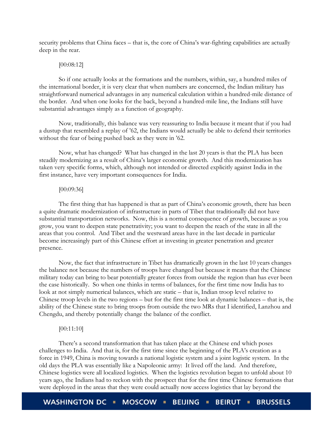security problems that China faces – that is, the core of China's war-fighting capabilities are actually deep in the rear.

#### [00:08:12]

So if one actually looks at the formations and the numbers, within, say, a hundred miles of the international border, it is very clear that when numbers are concerned, the Indian military has straightforward numerical advantages in any numerical calculation within a hundred-mile distance of the border. And when one looks for the back, beyond a hundred-mile line, the Indians still have substantial advantages simply as a function of geography.

Now, traditionally, this balance was very reassuring to India because it meant that if you had a dustup that resembled a replay of '62, the Indians would actually be able to defend their territories without the fear of being pushed back as they were in '62.

Now, what has changed? What has changed in the last 20 years is that the PLA has been steadily modernizing as a result of China's larger economic growth. And this modernization has taken very specific forms, which, although not intended or directed explicitly against India in the first instance, have very important consequences for India.

#### [00:09:36]

The first thing that has happened is that as part of China's economic growth, there has been a quite dramatic modernization of infrastructure in parts of Tibet that traditionally did not have substantial transportation networks. Now, this is a normal consequence of growth, because as you grow, you want to deepen state penetrativity; you want to deepen the reach of the state in all the areas that you control. And Tibet and the westward areas have in the last decade in particular become increasingly part of this Chinese effort at investing in greater penetration and greater presence.

Now, the fact that infrastructure in Tibet has dramatically grown in the last 10 years changes the balance not because the numbers of troops have changed but because it means that the Chinese military today can bring to bear potentially greater forces from outside the region than has ever been the case historically. So when one thinks in terms of balances, for the first time now India has to look at not simply numerical balances, which are static – that is, Indian troop level relative to Chinese troop levels in the two regions – but for the first time look at dynamic balances – that is, the ability of the Chinese state to bring troops from outside the two MRs that I identified, Lanzhou and Chengdu, and thereby potentially change the balance of the conflict.

# [00:11:10]

There's a second transformation that has taken place at the Chinese end which poses challenges to India. And that is, for the first time since the beginning of the PLA's creation as a force in 1949, China is moving towards a national logistic system and a joint logistic system. In the old days the PLA was essentially like a Napoleonic army: It lived off the land. And therefore, Chinese logistics were all localized logistics. When the logistics revolution began to unfold about 10 years ago, the Indians had to reckon with the prospect that for the first time Chinese formations that were deployed in the areas that they were could actually now access logistics that lay beyond the

**WASHINGTON DC** MOSCOW **E BEIJING BEIRUT = BRUSSELS**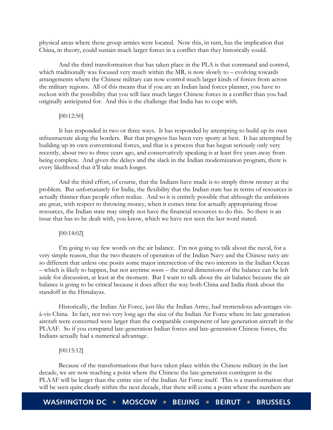physical areas where these group armies were located. Now this, in turn, has the implication that China, in theory, could sustain much larger forces in a conflict than they historically could.

And the third transformation that has taken place in the PLA is that command and control, which traditionally was focused very much within the MR, is now slowly to – evolving towards arrangements where the Chinese military can now control much larger kinds of forces from across the military regions. All of this means that if you are an Indian land forces planner, you have to reckon with the possibility that you will face much larger Chinese forces in a conflict than you had originally anticipated for. And this is the challenge that India has to cope with.

# [00:12:50]

It has responded in two or three ways. It has responded by attempting to build up its own infrastructure along the borders. But that progress has been very spotty at best. It has attempted by building up its own conventional forces, and that is a process that has begun seriously only very recently, about two to three years ago, and conservatively speaking is at least five years away from being complete. And given the delays and the slack in the Indian modernization program, there is every likelihood that it'll take much longer.

And the third effort, of course, that the Indians have made is to simply throw money at the problem. But unfortunately for India, the flexibility that the Indian state has in terms of resources is actually thinner than people often realize. And so it is entirely possible that although the ambitions are great, with respect to throwing money, when it comes time for actually appropriating those resources, the Indian state may simply not have the financial resources to do this. So there is an issue that has to be dealt with, you know, which we have not seen the last word stated.

#### [00:14:02]

I'm going to say few words on the air balance. I'm not going to talk about the naval, for a very simple reason, that the two theaters of operation of the Indian Navy and the Chinese navy are so different that unless one posits some major intersection of the two interests in the Indian Ocean – which is likely to happen, but not anytime soon – the naval dimensions of the balance can be left aside for discussion, at least at the moment. But I want to talk about the air balance because the air balance is going to be critical because it does affect the way both China and India think about the standoff in the Himalayas.

Historically, the Indian Air Force, just like the Indian Army, had tremendous advantages visà-vis China. In fact, not too very long ago the size of the Indian Air Force where its late generation aircraft were concerned were larger than the comparable component of late generation aircraft in the PLAAF. So if you compared late-generation Indian forces and late-generation Chinese forces, the Indians actually had a numerical advantage.

#### [00:15:12]

Because of the transformations that have taken place within the Chinese military in the last decade, we are now reaching a point where the Chinese the late-generation contingent in the PLAAF will be larger than the entire size of the Indian Air Force itself. This is a transformation that will be seen quite clearly within the next decade, that there will come a point where the numbers are

**WASHINGTON DC** MOSCOW = **BEIJING BEIRUT BRUSSELS**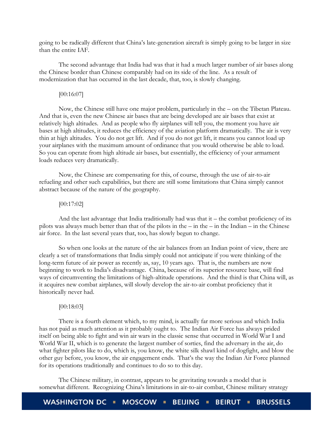going to be radically different that China's late-generation aircraft is simply going to be larger in size than the entire IAF.

The second advantage that India had was that it had a much larger number of air bases along the Chinese border than Chinese comparably had on its side of the line. As a result of modernization that has occurred in the last decade, that, too, is slowly changing.

# [00:16:07]

Now, the Chinese still have one major problem, particularly in the – on the Tibetan Plateau. And that is, even the new Chinese air bases that are being developed are air bases that exist at relatively high altitudes. And as people who fly airplanes will tell you, the moment you have air bases at high altitudes, it reduces the efficiency of the aviation platform dramatically. The air is very thin at high altitudes. You do not get lift. And if you do not get lift, it means you cannot load up your airplanes with the maximum amount of ordinance that you would otherwise be able to load. So you can operate from high altitude air bases, but essentially, the efficiency of your armament loads reduces very dramatically.

Now, the Chinese are compensating for this, of course, through the use of air-to-air refueling and other such capabilities, but there are still some limitations that China simply cannot abstract because of the nature of the geography.

# [00:17:02]

And the last advantage that India traditionally had was that it – the combat proficiency of its pilots was always much better than that of the pilots in the – in the – in the Indian – in the Chinese air force. In the last several years that, too, has slowly begun to change.

So when one looks at the nature of the air balances from an Indian point of view, there are clearly a set of transformations that India simply could not anticipate if you were thinking of the long-term future of air power as recently as, say, 10 years ago. That is, the numbers are now beginning to work to India's disadvantage. China, because of its superior resource base, will find ways of circumventing the limitations of high-altitude operations. And the third is that China will, as it acquires new combat airplanes, will slowly develop the air-to-air combat proficiency that it historically never had.

#### [00:18:03]

There is a fourth element which, to my mind, is actually far more serious and which India has not paid as much attention as it probably ought to. The Indian Air Force has always prided itself on being able to fight and win air wars in the classic sense that occurred in World War I and World War II, which is to generate the largest number of sorties, find the adversary in the air, do what fighter pilots like to do, which is, you know, the white silk shawl kind of dogfight, and blow the other guy before, you know, the air engagement ends. That's the way the Indian Air Force planned for its operations traditionally and continues to do so to this day.

The Chinese military, in contrast, appears to be gravitating towards a model that is somewhat different. Recognizing China's limitations in air-to-air combat, Chinese military strategy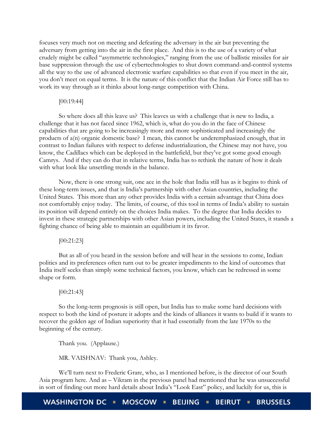focuses very much not on meeting and defeating the adversary in the air but preventing the adversary from getting into the air in the first place. And this is to the use of a variety of what crudely might be called "asymmetric technologies," ranging from the use of ballistic missiles for air base suppression through the use of cybertechnologies to shut down command-and-control systems all the way to the use of advanced electronic warfare capabilities so that even if you meet in the air, you don't meet on equal terms. It is the nature of this conflict that the Indian Air Force still has to work its way through as it thinks about long-range competition with China.

#### [00:19:44]

So where does all this leave us? This leaves us with a challenge that is new to India, a challenge that it has not faced since 1962, which is, what do you do in the face of Chinese capabilities that are going to be increasingly more and more sophisticated and increasingly the products of a(n) organic domestic base? I mean, this cannot be underemphasized enough, that in contrast to Indian failures with respect to defense industrialization, the Chinese may not have, you know, the Cadillacs which can be deployed in the battlefield, but they've got some good enough Camrys. And if they can do that in relative terms, India has to rethink the nature of how it deals with what look like unsettling trends in the balance.

Now, there is one strong suit, one ace in the hole that India still has as it begins to think of these long-term issues, and that is India's partnership with other Asian countries, including the United States. This more than any other provides India with a certain advantage that China does not comfortably enjoy today. The limits, of course, of this tool in terms of India's ability to sustain its position will depend entirely on the choices India makes. To the degree that India decides to invest in these strategic partnerships with other Asian powers, including the United States, it stands a fighting chance of being able to maintain an equilibrium it its favor.

[00:21:23]

But as all of you heard in the session before and will hear in the sessions to come, Indian politics and its preferences often turn out to be greater impediments to the kind of outcomes that India itself seeks than simply some technical factors, you know, which can be redressed in some shape or form.

#### [00:21:43]

So the long-term prognosis is still open, but India has to make some hard decisions with respect to both the kind of posture it adopts and the kinds of alliances it wants to build if it wants to recover the golden age of Indian superiority that it had essentially from the late 1970s to the beginning of the century.

Thank you. (Applause.)

MR. VAISHNAV: Thank you, Ashley.

We'll turn next to Frederic Grare, who, as I mentioned before, is the director of our South Asia program here. And as – Vikram in the previous panel had mentioned that he was unsuccessful in sort of finding out more hard details about India's "Look East" policy, and luckily for us, this is

WASHINGTON DC MOSCOW = **BEIJING BEIRUT = BRUSSELS**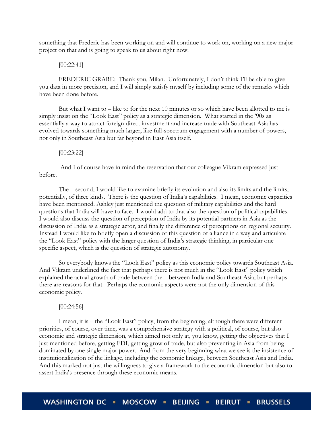something that Frederic has been working on and will continue to work on, working on a new major project on that and is going to speak to us about right now.

#### [00:22:41]

FREDERIC GRARE: Thank you, Milan. Unfortunately, I don't think I'll be able to give you data in more precision, and I will simply satisfy myself by including some of the remarks which have been done before.

But what I want to – like to for the next 10 minutes or so which have been allotted to me is simply insist on the "Look East" policy as a strategic dimension. What started in the '90s as essentially a way to attract foreign direct investment and increase trade with Southeast Asia has evolved towards something much larger, like full-spectrum engagement with a number of powers, not only in Southeast Asia but far beyond in East Asia itself.

#### [00:23:22]

And I of course have in mind the reservation that our colleague Vikram expressed just before.

The – second, I would like to examine briefly its evolution and also its limits and the limits, potentially, of three kinds. There is the question of India's capabilities. I mean, economic capacities have been mentioned. Ashley just mentioned the question of military capabilities and the hard questions that India will have to face. I would add to that also the question of political capabilities. I would also discuss the question of perception of India by its potential partners in Asia as the discussion of India as a strategic actor, and finally the difference of perceptions on regional security. Instead I would like to briefly open a discussion of this question of alliance in a way and articulate the "Look East" policy with the larger question of India's strategic thinking, in particular one specific aspect, which is the question of strategic autonomy.

So everybody knows the "Look East" policy as this economic policy towards Southeast Asia. And Vikram underlined the fact that perhaps there is not much in the "Look East" policy which explained the actual growth of trade between the – between India and Southeast Asia, but perhaps there are reasons for that. Perhaps the economic aspects were not the only dimension of this economic policy.

#### [00:24:56]

I mean, it is – the "Look East" policy, from the beginning, although there were different priorities, of course, over time, was a comprehensive strategy with a political, of course, but also economic and strategic dimension, which aimed not only at, you know, getting the objectives that I just mentioned before, getting FDI, getting grow of trade, but also preventing in Asia from being dominated by one single major power. And from the very beginning what we see is the insistence of institutionalization of the linkage, including the economic linkage, between Southeast Asia and India. And this marked not just the willingness to give a framework to the economic dimension but also to assert India's presence through these economic means.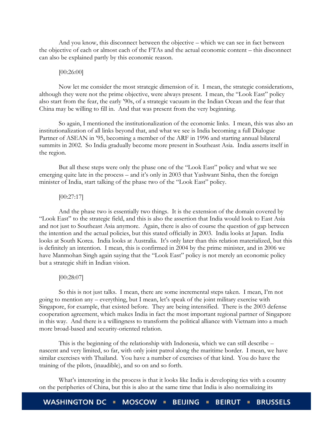And you know, this disconnect between the objective – which we can see in fact between the objective of each or almost each of the FTAs and the actual economic content – this disconnect can also be explained partly by this economic reason.

#### [00:26:00]

Now let me consider the most strategic dimension of it. I mean, the strategic considerations, although they were not the prime objective, were always present. I mean, the "Look East" policy also start from the fear, the early '90s, of a strategic vacuum in the Indian Ocean and the fear that China may be willing to fill in. And that was present from the very beginning.

So again, I mentioned the institutionalization of the economic links. I mean, this was also an institutionalization of all links beyond that, and what we see is India becoming a full Dialogue Partner of ASEAN in '95, becoming a member of the ARF in 1996 and starting annual bilateral summits in 2002. So India gradually become more present in Southeast Asia. India asserts itself in the region.

But all these steps were only the phase one of the "Look East" policy and what we see emerging quite late in the process – and it's only in 2003 that Yashwant Sinha, then the foreign minister of India, start talking of the phase two of the "Look East" policy.

# [00:27:17]

And the phase two is essentially two things. It is the extension of the domain covered by "Look East" to the strategic field, and this is also the assertion that India would look to East Asia and not just to Southeast Asia anymore. Again, there is also of course the question of gap between the intention and the actual policies, but this stated officially in 2003. India looks at Japan. India looks at South Korea. India looks at Australia. It's only later than this relation materialized, but this is definitely an intention. I mean, this is confirmed in 2004 by the prime minister, and in 2006 we have Manmohan Singh again saying that the "Look East" policy is not merely an economic policy but a strategic shift in Indian vision.

# [00:28:07]

So this is not just talks. I mean, there are some incremental steps taken. I mean, I'm not going to mention any – everything, but I mean, let's speak of the joint military exercise with Singapore, for example, that existed before. They are being intensified. There is the 2003 defense cooperation agreement, which makes India in fact the most important regional partner of Singapore in this way. And there is a willingness to transform the political alliance with Vietnam into a much more broad-based and security-oriented relation.

This is the beginning of the relationship with Indonesia, which we can still describe – nascent and very limited, so far, with only joint patrol along the maritime border. I mean, we have similar exercises with Thailand. You have a number of exercises of that kind. You do have the training of the pilots, (inaudible), and so on and so forth.

What's interesting in the process is that it looks like India is developing ties with a country on the peripheries of China, but this is also at the same time that India is also normalizing its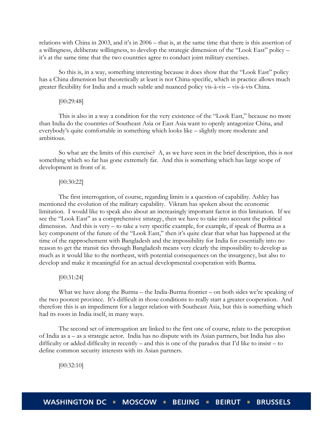relations with China in 2003, and it's in 2006 – that is, at the same time that there is this assertion of a willingness, deliberate willingness, to develop the strategic dimension of the "Look East" policy – it's at the same time that the two countries agree to conduct joint military exercises.

So this is, in a way, something interesting because it does show that the "Look East" policy has a China dimension but theoretically at least is not China-specific, which in practice allows much greater flexibility for India and a much subtle and nuanced policy vis-à-vis – vis-à-vis China.

#### [00:29:48]

This is also in a way a condition for the very existence of the "Look East," because no more than India do the countries of Southeast Asia or East Asia want to openly antagonize China, and everybody's quite comfortable in something which looks like – slightly more moderate and ambitious.

So what are the limits of this exercise? A, as we have seen in the brief description, this is not something which so far has gone extremely far. And this is something which has large scope of development in front of it.

#### [00:30:22]

The first interrogation, of course, regarding limits is a question of capability. Ashley has mentioned the evolution of the military capability. Vikram has spoken about the economic limitation. I would like to speak also about an increasingly important factor in this limitation. If we see the "Look East" as a comprehensive strategy, then we have to take into account the political dimension. And this is very – to take a very specific example, for example, if speak of Burma as a key component of the future of the "Look East," then it's quite clear that what has happened at the time of the rapprochement with Bangladesh and the impossibility for India for essentially into no reason to get the transit ties through Bangladesh means very clearly the impossibility to develop as much as it would like to the northeast, with potential consequences on the insurgency, but also to develop and make it meaningful for an actual developmental cooperation with Burma.

# [00:31:24]

What we have along the Burma – the India-Burma frontier – on both sides we're speaking of the two poorest province. It's difficult in those conditions to really start a greater cooperation. And therefore this is an impediment for a larger relation with Southeast Asia, but this is something which had its roots in India itself, in many ways.

The second set of interrogation are linked to the first one of course, relate to the perception of India as a – as a strategic actor. India has no dispute with its Asian partners, but India has also difficulty or added difficulty in recently – and this is one of the paradox that I'd like to insist – to define common security interests with its Asian partners.

[00:32:10]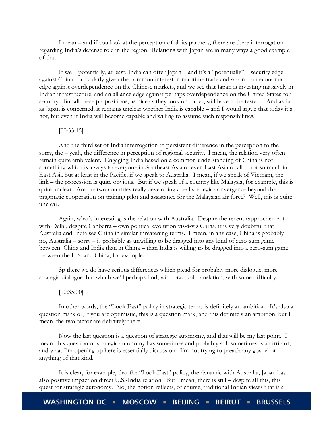I mean – and if you look at the perception of all its partners, there are there interrogation regarding India's defense role in the region. Relations with Japan are in many ways a good example of that.

If we – potentially, at least, India can offer Japan – and it's a "potentially" – security edge against China, particularly given the common interest in maritime trade and so on – an economic edge against overdependence on the Chinese markets, and we see that Japan is investing massively in Indian infrastructure, and an alliance edge against perhaps overdependence on the United States for security. But all these propositions, as nice as they look on paper, still have to be tested. And as far as Japan is concerned, it remains unclear whether India is capable – and I would argue that today it's not, but even if India will become capable and willing to assume such responsibilities.

# [00:33:15]

And the third set of India interrogation to persistent difference in the perception to the – sorry, the – yeah, the difference in perception of regional security. I mean, the relation very often remain quite ambivalent. Engaging India based on a common understanding of China is not something which is always to everyone in Southeast Asia or even East Asia or all – not so much in East Asia but at least in the Pacific, if we speak to Australia. I mean, if we speak of Vietnam, the link – the procession is quite obvious. But if we speak of a country like Malaysia, for example, this is quite unclear. Are the two countries really developing a real strategic convergence beyond the pragmatic cooperation on training pilot and assistance for the Malaysian air force? Well, this is quite unclear.

Again, what's interesting is the relation with Australia. Despite the recent rapprochement with Delhi, despite Canberra – own political evolution vis-à-vis China, it is very doubtful that Australia and India see China in similar threatening terms. I mean, in any case, China is probably – no, Australia – sorry – is probably as unwilling to be dragged into any kind of zero-sum game between China and India than in China – than India is willing to be dragged into a zero-sum game between the U.S. and China, for example.

Sp there we do have serious differences which plead for probably more dialogue, more strategic dialogue, but which we'll perhaps find, with practical translation, with some difficulty.

#### [00:35:00]

In other words, the "Look East" policy in strategic terms is definitely an ambition. It's also a question mark or, if you are optimistic, this is a question mark, and this definitely an ambition, but I mean, the two factor are definitely there.

Now the last question is a question of strategic autonomy, and that will be my last point. I mean, this question of strategic autonomy has sometimes and probably still sometimes is an irritant, and what I'm opening up here is essentially discussion. I'm not trying to preach any gospel or anything of that kind.

It is clear, for example, that the "Look East" policy, the dynamic with Australia, Japan has also positive impact on direct U.S.-India relation. But I mean, there is still – despite all this, this quest for strategic autonomy. No, the notion reflects, of course, traditional Indian views that is a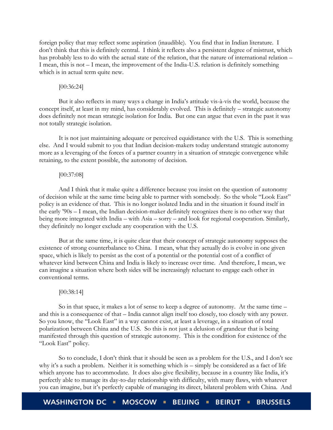foreign policy that may reflect some aspiration (inaudible). You find that in Indian literature. I don't think that this is definitely central. I think it reflects also a persistent degree of mistrust, which has probably less to do with the actual state of the relation, that the nature of international relation – I mean, this is not – I mean, the improvement of the India-U.S. relation is definitely something which is in actual term quite new.

# [00:36:24]

But it also reflects in many ways a change in India's attitude vis-à-vis the world, because the concept itself, at least in my mind, has considerably evolved. This is definitely – strategic autonomy does definitely not mean strategic isolation for India. But one can argue that even in the past it was not totally strategic isolation.

It is not just maintaining adequate or perceived equidistance with the U.S. This is something else. And I would submit to you that Indian decision-makers today understand strategic autonomy more as a leveraging of the forces of a partner country in a situation of strategic convergence while retaining, to the extent possible, the autonomy of decision.

#### [00:37:08]

And I think that it make quite a difference because you insist on the question of autonomy of decision while at the same time being able to partner with somebody. So the whole "Look East" policy is an evidence of that. This is no longer isolated India and in the situation it found itself in the early '90s – I mean, the Indian decision-maker definitely recognizes there is no other way that being more integrated with India – with Asia – sorry – and look for regional cooperation. Similarly, they definitely no longer exclude any cooperation with the U.S.

But at the same time, it is quite clear that their concept of strategic autonomy supposes the existence of strong counterbalance to China. I mean, what they actually do is evolve in one given space, which is likely to persist as the cost of a potential or the potential cost of a conflict of whatever kind between China and India is likely to increase over time. And therefore, I mean, we can imagine a situation where both sides will be increasingly reluctant to engage each other in conventional terms.

#### [00:38:14]

So in that space, it makes a lot of sense to keep a degree of autonomy. At the same time – and this is a consequence of that – India cannot align itself too closely, too closely with any power. So you know, the "Look East" in a way cannot exist, at least a leverage, in a situation of total polarization between China and the U.S. So this is not just a delusion of grandeur that is being manifested through this question of strategic autonomy. This is the condition for existence of the "Look East" policy.

So to conclude, I don't think that it should be seen as a problem for the U.S., and I don't see why it's a such a problem. Neither it is something which is – simply be considered as a fact of life which anyone has to accommodate. It does also give flexibility, because in a country like India, it's perfectly able to manage its day-to-day relationship with difficulty, with many flaws, with whatever you can imagine, but it's perfectly capable of managing its direct, bilateral problem with China. And

**WASHINGTON DC** MOSCOW **E BEIJING BEIRUT . BRUSSELS**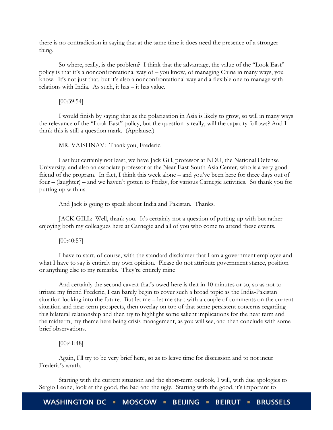there is no contradiction in saying that at the same time it does need the presence of a stronger thing.

So where, really, is the problem? I think that the advantage, the value of the "Look East" policy is that it's a nonconfrontational way of – you know, of managing China in many ways, you know. It's not just that, but it's also a nonconfrontational way and a flexible one to manage with relations with India. As such, it has – it has value.

[00:39:54]

I would finish by saying that as the polarization in Asia is likely to grow, so will in many ways the relevance of the "Look East" policy, but the question is really, will the capacity follows? And I think this is still a question mark. (Applause.)

MR. VAISHNAV: Thank you, Frederic.

Last but certainly not least, we have Jack Gill, professor at NDU, the National Defense University, and also an associate professor at the Near East-South Asia Center, who is a very good friend of the program. In fact, I think this week alone – and you've been here for three days out of four – (laughter) – and we haven't gotten to Friday, for various Carnegie activities. So thank you for putting up with us.

And Jack is going to speak about India and Pakistan. Thanks.

JACK GILL: Well, thank you. It's certainly not a question of putting up with but rather enjoying both my colleagues here at Carnegie and all of you who come to attend these events.

 $[00:40:57]$ 

I have to start, of course, with the standard disclaimer that I am a government employee and what I have to say is entirely my own opinion. Please do not attribute government stance, position or anything else to my remarks. They're entirely mine

And certainly the second caveat that's owed here is that in 10 minutes or so, so as not to irritate my friend Frederic, I can barely begin to cover such a broad topic as the India-Pakistan situation looking into the future. But let me – let me start with a couple of comments on the current situation and near-term prospects, then overlay on top of that some persistent concerns regarding this bilateral relationship and then try to highlight some salient implications for the near term and the midterm, my theme here being crisis management, as you will see, and then conclude with some brief observations.

[00:41:48]

Again, I'll try to be very brief here, so as to leave time for discussion and to not incur Frederic's wrath.

Starting with the current situation and the short-term outlook, I will, with due apologies to Sergio Leone, look at the good, the bad and the ugly. Starting with the good, it's important to

WASHINGTON DC · MOSCOW · **BEIJING • BEIRUT . BRUSSELS**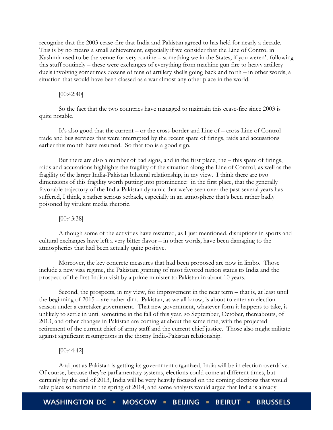recognize that the 2003 cease-fire that India and Pakistan agreed to has held for nearly a decade. This is by no means a small achievement, especially if we consider that the Line of Control in Kashmir used to be the venue for very routine – something we in the States, if you weren't following this stuff routinely – these were exchanges of everything from machine gun fire to heavy artillery duels involving sometimes dozens of tens of artillery shells going back and forth – in other words, a situation that would have been classed as a war almost any other place in the world.

# [00:42:40]

So the fact that the two countries have managed to maintain this cease-fire since 2003 is quite notable.

It's also good that the current – or the cross-border and Line of – cross-Line of Control trade and bus services that were interrupted by the recent spate of firings, raids and accusations earlier this month have resumed. So that too is a good sign.

But there are also a number of bad signs, and in the first place, the – this spate of firings, raids and accusations highlights the fragility of the situation along the Line of Control, as well as the fragility of the larger India-Pakistan bilateral relationship, in my view. I think there are two dimensions of this fragility worth putting into prominence: in the first place, that the generally favorable trajectory of the India-Pakistan dynamic that we've seen over the past several years has suffered, I think, a rather serious setback, especially in an atmosphere that's been rather badly poisoned by virulent media rhetoric.

# [00:43:38]

Although some of the activities have restarted, as I just mentioned, disruptions in sports and cultural exchanges have left a very bitter flavor – in other words, have been damaging to the atmospherics that had been actually quite positive.

Moreover, the key concrete measures that had been proposed are now in limbo. Those include a new visa regime, the Pakistani granting of most favored nation status to India and the prospect of the first Indian visit by a prime minister to Pakistan in about 10 years.

Second, the prospects, in my view, for improvement in the near term – that is, at least until the beginning of 2015 – are rather dim. Pakistan, as we all know, is about to enter an election season under a caretaker government. That new government, whatever form it happens to take, is unlikely to settle in until sometime in the fall of this year, so September, October, thereabouts, of 2013, and other changes in Pakistan are coming at about the same time, with the projected retirement of the current chief of army staff and the current chief justice. Those also might militate against significant resumptions in the thorny India-Pakistan relationship.

# [00:44:42]

And just as Pakistan is getting its government organized, India will be in election overdrive. Of course, because they're parliamentary systems, elections could come at different times, but certainly by the end of 2013, India will be very heavily focused on the coming elections that would take place sometime in the spring of 2014, and some analysts would argue that India is already

WASHINGTON DC · MOSCOW · BEIJING · **BEIRUT . BRUSSELS**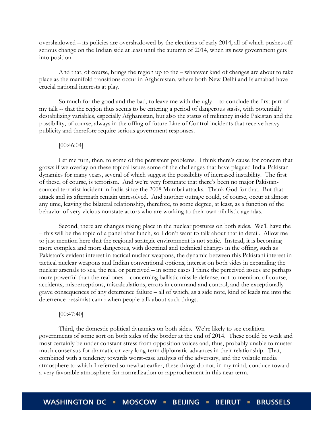overshadowed – its policies are overshadowed by the elections of early 2014, all of which pushes off serious change on the Indian side at least until the autumn of 2014, when its new government gets into position.

And that, of course, brings the region up to the – whatever kind of changes are about to take place as the manifold transitions occur in Afghanistan, where both New Delhi and Islamabad have crucial national interests at play.

So much for the good and the bad, to leave me with the ugly -- to conclude the first part of my talk -- that the region thus seems to be entering a period of dangerous stasis, with potentially destabilizing variables, especially Afghanistan, but also the status of militancy inside Pakistan and the possibility, of course, always in the offing of future Line of Control incidents that receive heavy publicity and therefore require serious government responses.

#### [00:46:04]

Let me turn, then, to some of the persistent problems. I think there's cause for concern that grows if we overlay on these topical issues some of the challenges that have plagued India-Pakistan dynamics for many years, several of which suggest the possibility of increased instability. The first of these, of course, is terrorism. And we're very fortunate that there's been no major Pakistansourced terrorist incident in India since the 2008 Mumbai attacks. Thank God for that. But that attack and its aftermath remain unresolved. And another outrage could, of course, occur at almost any time, leaving the bilateral relationship, therefore, to some degree, at least, as a function of the behavior of very vicious nonstate actors who are working to their own nihilistic agendas.

Second, there are changes taking place in the nuclear postures on both sides. We'll have the – this will be the topic of a panel after lunch, so I don't want to talk about that in detail. Allow me to just mention here that the regional strategic environment is not static. Instead, it is becoming more complex and more dangerous, with doctrinal and technical changes in the offing, such as Pakistan's evident interest in tactical nuclear weapons, the dynamic between this Pakistani interest in tactical nuclear weapons and Indian conventional options, interest on both sides in expanding the nuclear arsenals to sea, the real or perceived – in some cases I think the perceived issues are perhaps more powerful than the real ones – concerning ballistic missile defense, not to mention, of course, accidents, misperceptions, miscalculations, errors in command and control, and the exceptionally grave consequences of any deterrence failure – all of which, as a side note, kind of leads me into the deterrence pessimist camp when people talk about such things.

#### [00:47:40]

Third, the domestic political dynamics on both sides. We're likely to see coalition governments of some sort on both sides of the border at the end of 2014. These could be weak and most certainly be under constant stress from opposition voices and, thus, probably unable to muster much consensus for dramatic or very long-term diplomatic advances in their relationship. That, combined with a tendency towards worst-case analysis of the adversary, and the volatile media atmosphere to which I referred somewhat earlier, these things do not, in my mind, conduce toward a very favorable atmosphere for normalization or rapprochement in this near term.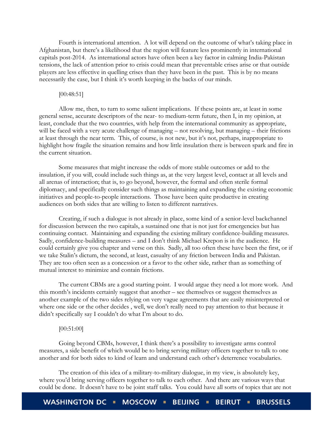Fourth is international attention. A lot will depend on the outcome of what's taking place in Afghanistan, but there's a likelihood that the region will feature less prominently in international capitals post-2014. As international actors have often been a key factor in calming India-Pakistan tensions, the lack of attention prior to crisis could mean that preventable crises arise or that outside players are less effective in quelling crises than they have been in the past. This is by no means necessarily the case, but I think it's worth keeping in the backs of our minds.

#### [00:48:51]

Allow me, then, to turn to some salient implications. If these points are, at least in some general sense, accurate descriptors of the near- to medium-term future, then I, in my opinion, at least, conclude that the two countries, with help from the international community as appropriate, will be faced with a very acute challenge of managing – not resolving, but managing – their frictions at least through the near term. This, of course, is not new, but it's not, perhaps, inappropriate to highlight how fragile the situation remains and how little insulation there is between spark and fire in the current situation.

Some measures that might increase the odds of more stable outcomes or add to the insulation, if you will, could include such things as, at the very largest level, contact at all levels and all arenas of interaction; that is, to go beyond, however, the formal and often sterile formal diplomacy, and specifically consider such things as maintaining and expanding the existing economic initiatives and people-to-people interactions. Those have been quite productive in creating audiences on both sides that are willing to listen to different narratives.

Creating, if such a dialogue is not already in place, some kind of a senior-level backchannel for discussion between the two capitals, a sustained one that is not just for emergencies but has continuing contact. Maintaining and expanding the existing military confidence-building measures. Sadly, confidence-building measures – and I don't think Michael Krepon is in the audience. He could certainly give you chapter and verse on this. Sadly, all too often these have been the first, or if we take Stalin's dictum, the second, at least, casualty of any friction between India and Pakistan. They are too often seen as a concession or a favor to the other side, rather than as something of mutual interest to minimize and contain frictions.

The current CBMs are a good starting point. I would argue they need a lot more work. And this month's incidents certainly suggest that another – see themselves or suggest themselves as another example of the two sides relying on very vague agreements that are easily misinterpreted or where one side or the other decides , well, we don't really need to pay attention to that because it didn't specifically say I couldn't do what I'm about to do.

# [00:51:00]

Going beyond CBMs, however, I think there's a possibility to investigate arms control measures, a side benefit of which would be to bring serving military officers together to talk to one another and for both sides to kind of learn and understand each other's deterrence vocabularies.

The creation of this idea of a military-to-military dialogue, in my view, is absolutely key, where you'd bring serving officers together to talk to each other. And there are various ways that could be done. It doesn't have to be joint staff talks. You could have all sorts of topics that are not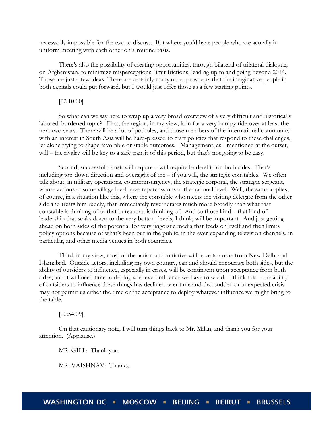necessarily impossible for the two to discuss. But where you'd have people who are actually in uniform meeting with each other on a routine basis.

There's also the possibility of creating opportunities, through bilateral of trilateral dialogue, on Afghanistan, to minimize misperceptions, limit frictions, leading up to and going beyond 2014. Those are just a few ideas. There are certainly many other prospects that the imaginative people in both capitals could put forward, but I would just offer those as a few starting points.

# [52:10:00]

So what can we say here to wrap up a very broad overview of a very difficult and historically labored, burdened topic? First, the region, in my view, is in for a very bumpy ride over at least the next two years. There will be a lot of potholes, and those members of the international community with an interest in South Asia will be hard-pressed to craft policies that respond to these challenges, let alone trying to shape favorable or stable outcomes. Management, as I mentioned at the outset, will – the rivalry will be key to a safe transit of this period, but that's not going to be easy.

Second, successful transit will require – will require leadership on both sides. That's including top-down direction and oversight of the – if you will, the strategic constables. We often talk about, in military operations, counterinsurgency, the strategic corporal, the strategic sergeant, whose actions at some village level have repercussions at the national level. Well, the same applies, of course, in a situation like this, where the constable who meets the visiting delegate from the other side and treats him rudely, that immediately reverberates much more broadly than what that constable is thinking of or that bureaucrat is thinking of. And so those kind – that kind of leadership that soaks down to the very bottom levels, I think, will be important. And just getting ahead on both sides of the potential for very jingoistic media that feeds on itself and then limits policy options because of what's been out in the public, in the ever-expanding television channels, in particular, and other media venues in both countries.

Third, in my view, most of the action and initiative will have to come from New Delhi and Islamabad. Outside actors, including my own country, can and should encourage both sides, but the ability of outsiders to influence, especially in crises, will be contingent upon acceptance from both sides, and it will need time to deploy whatever influence we have to wield. I think this – the ability of outsiders to influence these things has declined over time and that sudden or unexpected crisis may not permit us either the time or the acceptance to deploy whatever influence we might bring to the table.

[00:54:09]

On that cautionary note, I will turn things back to Mr. Milan, and thank you for your attention. (Applause.)

MR. GILL: Thank you.

MR. VAISHNAV: Thanks.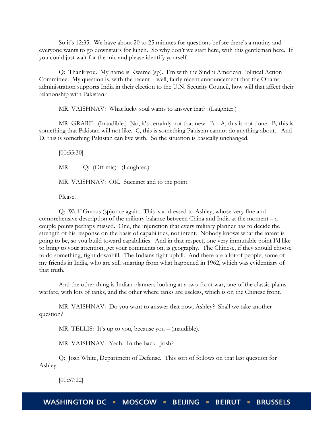So it's 12:35. We have about 20 to 25 minutes for questions before there's a mutiny and everyone wants to go downstairs for lunch. So why don't we start here, with this gentleman here. If you could just wait for the mic and please identify yourself.

Q: Thank you. My name is Kwame (sp). I'm with the Sindhi American Political Action Committee. My question is, with the recent – well, fairly recent announcement that the Obama administration supports India in their election to the U.N. Security Council, how will that affect their relationship with Pakistan?

MR. VAISHNAV: What lucky soul wants to answer that? (Laughter.)

MR. GRARE: (Inaudible.) No, it's certainly not that new.  $B - A$ , this is not done. B, this is something that Pakistan will not like. C, this is something Pakistan cannot do anything about. And D, this is something Pakistan can live with. So the situation is basically unchanged.

[00:55:30] MR. : Q: (Off mic) (Laughter.) MR. VAISHNAV: OK. Succinct and to the point.

Please.

Q: Wolf Gurrus (sp)once again. This is addressed to Ashley, whose very fine and comprehensive description of the military balance between China and India at the moment  $-a$ couple points perhaps missed. One, the injunction that every military planner has to decide the strength of his response on the basis of capabilities, not intent. Nobody knows what the intent is going to be, so you build toward capabilities. And in that respect, one very immutable point I'd like to bring to your attention, get your comments on, is geography. The Chinese, if they should choose to do something, fight downhill. The Indians fight uphill. And there are a lot of people, some of my friends in India, who are still smarting from what happened in 1962, which was evidentiary of that truth.

And the other thing is Indian planners looking at a two-front war, one of the classic plains warfare, with lots of tanks, and the other where tanks are useless, which is on the Chinese front.

MR. VAISHNAV: Do you want to answer that now, Ashley? Shall we take another question?

MR. TELLIS: It's up to you, because you – (inaudible).

MR. VAISHNAV: Yeah. In the back. Josh?

Q: Josh White, Department of Defense. This sort of follows on that last question for Ashley.

[00:57:22]

**WASHINGTON DC** MOSCOW = BEIJING = **BEIRUT BRUSSELS**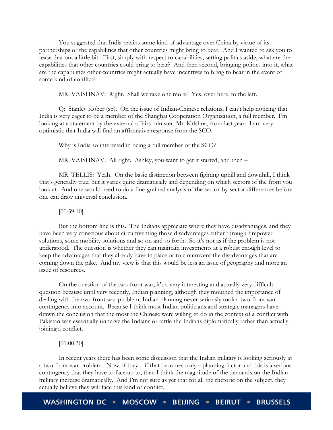You suggested that India retains some kind of advantage over China by virtue of its partnerships or the capabilities that other countries might bring to bear. And I wanted to ask you to tease that out a little bit. First, simply with respect to capabilities, setting politics aside, what are the capabilities that other countries could bring to bear? And then second, bringing politics into it, what are the capabilities other countries might actually have incentives to bring to bear in the event of some kind of conflict?

MR. VAISHNAV: Right. Shall we take one more? Yes, over here, to the left.

Q: Stanley Kober (sp). On the issue of Indian-Chinese relations, I can't help noticing that India is very eager to be a member of the Shanghai Cooperation Organization, a full member. I'm looking at a statement by the external affairs minister, Mr. Krishna, from last year: I am very optimistic that India will find an affirmative response from the SCO.

Why is India so interested in being a full member of the SCO?

MR. VAISHNAV: All right. Ashley, you want to get it started, and then –

MR. TELLIS: Yeah. On the basic distinction between fighting uphill and downhill, I think that's generally true, but it varies quite dramatically and depending on which sectors of the front you look at. And one would need to do a fine-grained analysis of the sector-by-sector differences before one can draw universal conclusion.

#### [00:59:10]

But the bottom line is this. The Indians appreciate where they have disadvantages, and they have been very conscious about circumventing those disadvantages either through firepower solutions, some mobility solutions and so on and so forth. So it's not as if the problem is not understood. The question is whether they can maintain investments at a robust enough level to keep the advantages that they already have in place or to circumvent the disadvantages that are coming down the pike. And my view is that this would be less an issue of geography and more an issue of resources.

On the question of the two-front war, it's a very interesting and actually very difficult question because until very recently, Indian planning, although they mouthed the importance of dealing with the two-front war problem, Indian planning never seriously took a two-front war contingency into account. Because I think most Indian politicians and strategic managers have drawn the conclusion that the most the Chinese were willing to do in the context of a conflict with Pakistan was essentially unnerve the Indians or rattle the Indians diplomatically rather than actually joining a conflict.

# [01:00:30]

In recent years there has been some discussion that the Indian military is looking seriously at a two-front war problem. Now, if they – if that becomes truly a planning factor and this is a serious contingency that they have to face up to, then I think the magnitude of the demands on the Indian military increase dramatically. And I'm not sure as yet that for all the rhetoric on the subject, they actually believe they will face this kind of conflict.

**WASHINGTON DC MOSCOW ... BEIJING BEIRUT . BRUSSELS**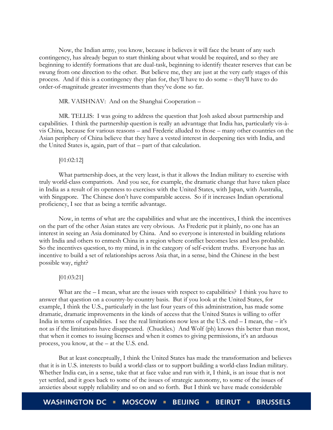Now, the Indian army, you know, because it believes it will face the brunt of any such contingency, has already begun to start thinking about what would be required, and so they are beginning to identify formations that are dual-task, beginning to identify theater reserves that can be swung from one direction to the other. But believe me, they are just at the very early stages of this process. And if this is a contingency they plan for, they'll have to do some – they'll have to do order-of-magnitude greater investments than they've done so far.

MR. VAISHNAV: And on the Shanghai Cooperation –

MR. TELLIS: I was going to address the question that Josh asked about partnership and capabilities. I think the partnership question is really an advantage that India has, particularly vis-àvis China, because for various reasons – and Frederic alluded to those – many other countries on the Asian periphery of China believe that they have a vested interest in deepening ties with India, and the United States is, again, part of that – part of that calculation.

# [01:02:12]

What partnership does, at the very least, is that it allows the Indian military to exercise with truly world-class compatriots. And you see, for example, the dramatic change that have taken place in India as a result of its openness to exercises with the United States, with Japan, with Australia, with Singapore. The Chinese don't have comparable access. So if it increases Indian operational proficiency, I see that as being a terrific advantage.

Now, in terms of what are the capabilities and what are the incentives, I think the incentives on the part of the other Asian states are very obvious. As Frederic put it plainly, no one has an interest in seeing an Asia dominated by China. And so everyone is interested in building relations with India and others to enmesh China in a region where conflict becomes less and less probable. So the incentives question, to my mind, is in the category of self-evident truths. Everyone has an incentive to build a set of relationships across Asia that, in a sense, bind the Chinese in the best possible way, right?

# [01:03:21]

What are the  $-1$  mean, what are the issues with respect to capabilities? I think you have to answer that question on a country-by-country basis. But if you look at the United States, for example, I think the U.S., particularly in the last four years of this administration, has made some dramatic, dramatic improvements in the kinds of access that the United States is willing to offer India in terms of capabilities. I see the real limitations now less at the U.S. end – I mean, the – it's not as if the limitations have disappeared. (Chuckles.) And Wolf (ph) knows this better than most, that when it comes to issuing licenses and when it comes to giving permissions, it's an arduous process, you know, at the – at the U.S. end.

But at least conceptually, I think the United States has made the transformation and believes that it is in U.S. interests to build a world-class or to support building a world-class Indian military. Whether India can, in a sense, take that at face value and run with it, I think, is an issue that is not yet settled, and it goes back to some of the issues of strategic autonomy, to some of the issues of anxieties about supply reliability and so on and so forth. But I think we have made considerable

**WASHINGTON DC** MOSCOW **E BEIJING BEIRUT . BRUSSELS**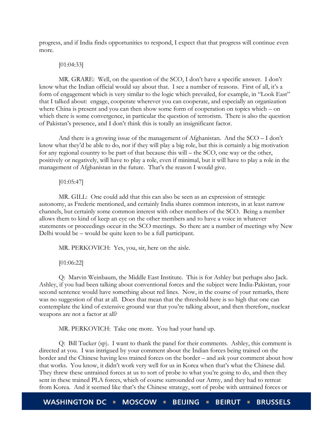progress, and if India finds opportunities to respond, I expect that that progress will continue even more.

# [01:04:33]

MR. GRARE: Well, on the question of the SCO, I don't have a specific answer. I don't know what the Indian official would say about that. I see a number of reasons. First of all, it's a form of engagement which is very similar to the logic which prevailed, for example, in "Look East" that I talked about: engage, cooperate wherever you can cooperate, and especially an organization where China is present and you can then show some form of cooperation on topics which – on which there is some convergence, in particular the question of terrorism. There is also the question of Pakistan's presence, and I don't think this is totally an insignificant factor.

And there is a growing issue of the management of Afghanistan. And the SCO – I don't know what they'd be able to do, nor if they will play a big role, but this is certainly a big motivation for any regional country to be part of that because this will – the SCO, one way or the other, positively or negatively, will have to play a role, even if minimal, but it will have to play a role in the management of Afghanistan in the future. That's the reason I would give.

[01:05:47]

MR. GILL: One could add that this can also be seen as an expression of strategic autonomy, as Frederic mentioned, and certainly India shares common interests, in at least narrow channels, but certainly some common interest with other members of the SCO. Being a member allows them to kind of keep an eye on the other members and to have a voice in whatever statements or proceedings occur in the SCO meetings. So there are a number of meetings why New Delhi would be – would be quite keen to be a full participant.

MR. PERKOVICH: Yes, you, sir, here on the aisle.

[01:06:22]

Q: Marvin Weinbaum, the Middle East Institute. This is for Ashley but perhaps also Jack. Ashley, if you had been talking about conventional forces and the subject were India-Pakistan, your second sentence would have something about red lines. Now, in the course of your remarks, there was no suggestion of that at all. Does that mean that the threshold here is so high that one can contemplate the kind of extensive ground war that you're talking about, and then therefore, nuclear weapons are not a factor at all?

MR. PERKOVICH: Take one more. You had your hand up.

Q: Bill Tucker (sp). I want to thank the panel for their comments. Ashley, this comment is directed at you. I was intrigued by your comment about the Indian forces being trained on the border and the Chinese having less trained forces on the border – and ask your comment about how that works. You know, it didn't work very well for us in Korea when that's what the Chinese did. They threw these untrained forces at us to sort of probe to what you're going to do, and then they sent in these trained PLA forces, which of course surrounded our Army, and they had to retreat from Korea. And it seemed like that's the Chinese strategy, sort of probe with untrained forces or

**WASHINGTON DC MOSCOW = BEIJING BEIRUT . BRUSSELS**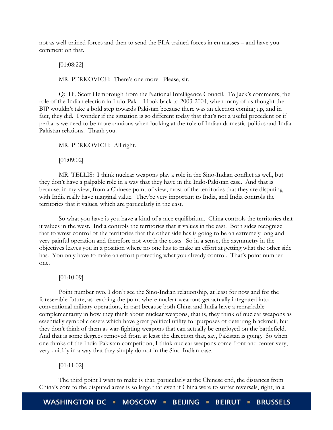not as well-trained forces and then to send the PLA trained forces in en masses – and have you comment on that.

[01:08:22]

MR. PERKOVICH: There's one more. Please, sir.

Q: Hi, Scott Hembrough from the National Intelligence Council. To Jack's comments, the role of the Indian election in Indo-Pak – I look back to 2003-2004, when many of us thought the BJP wouldn't take a bold step towards Pakistan because there was an election coming up, and in fact, they did. I wonder if the situation is so different today that that's not a useful precedent or if perhaps we need to be more cautious when looking at the role of Indian domestic politics and India-Pakistan relations. Thank you.

MR. PERKOVICH: All right.

[01:09:02]

MR. TELLIS: I think nuclear weapons play a role in the Sino-Indian conflict as well, but they don't have a palpable role in a way that they have in the Indo-Pakistan case. And that is because, in my view, from a Chinese point of view, most of the territories that they are disputing with India really have marginal value. They're very important to India, and India controls the territories that it values, which are particularly in the east.

So what you have is you have a kind of a nice equilibrium. China controls the territories that it values in the west. India controls the territories that it values in the east. Both sides recognize that to wrest control of the territories that the other side has is going to be an extremely long and very painful operation and therefore not worth the costs. So in a sense, the asymmetry in the objectives leaves you in a position where no one has to make an effort at getting what the other side has. You only have to make an effort protecting what you already control. That's point number one.

# [01:10:09]

Point number two, I don't see the Sino-Indian relationship, at least for now and for the foreseeable future, as reaching the point where nuclear weapons get actually integrated into conventional military operations, in part because both China and India have a remarkable complementarity in how they think about nuclear weapons, that is, they think of nuclear weapons as essentially symbolic assets which have great political utility for purposes of deterring blackmail, but they don't think of them as war-fighting weapons that can actually be employed on the battlefield. And that is some degrees removed from at least the direction that, say, Pakistan is going. So when one thinks of the India-Pakistan competition, I think nuclear weapons come front and center very, very quickly in a way that they simply do not in the Sino-Indian case.

# [01:11:02]

The third point I want to make is that, particularly at the Chinese end, the distances from China's core to the disputed areas is so large that even if China were to suffer reversals, right, in a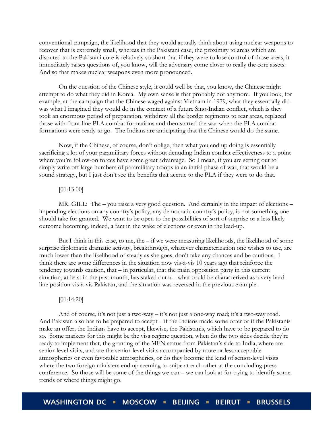conventional campaign, the likelihood that they would actually think about using nuclear weapons to recover that is extremely small, whereas in the Pakistani case, the proximity to areas which are disputed to the Pakistani core is relatively so short that if they were to lose control of those areas, it immediately raises questions of, you know, will the adversary come closer to really the core assets. And so that makes nuclear weapons even more pronounced.

On the question of the Chinese style, it could well be that, you know, the Chinese might attempt to do what they did in Korea. My own sense is that probably not anymore. If you look, for example, at the campaign that the Chinese waged against Vietnam in 1979, what they essentially did was what I imagined they would do in the context of a future Sino-Indian conflict, which is they took an enormous period of preparation, withdrew all the border regiments to rear areas, replaced those with front-line PLA combat formations and then started the war when the PLA combat formations were ready to go. The Indians are anticipating that the Chinese would do the same.

Now, if the Chinese, of course, don't oblige, then what you end up doing is essentially sacrificing a lot of your paramilitary forces without denuding Indian combat effectiveness to a point where you're follow-on forces have some great advantage. So I mean, if you are setting out to simply write off large numbers of paramilitary troops in an initial phase of war, that would be a sound strategy, but I just don't see the benefits that accrue to the PLA if they were to do that.

# [01:13:00]

MR. GILL: The – you raise a very good question. And certainly in the impact of elections – impending elections on any country's policy, any democratic country's policy, is not something one should take for granted. We want to be open to the possibilities of sort of surprise or a less likely outcome becoming, indeed, a fact in the wake of elections or even in the lead-up.

But I think in this case, to me, the – if we were measuring likelihoods, the likelihood of some surprise diplomatic dramatic activity, breakthrough, whatever characterization one wishes to use, are much lower than the likelihood of steady as she goes, don't take any chances and be cautious. I think there are some differences in the situation now vis-à-vis 10 years ago that reinforce the tendency towards caution, that – in particular, that the main opposition party in this current situation, at least in the past month, has staked out a – what could be characterized as a very hardline position vis-à-vis Pakistan, and the situation was reversed in the previous example.

#### [01:14:20]

And of course, it's not just a two-way – it's not just a one-way road; it's a two-way road. And Pakistan also has to be prepared to accept – if the Indians made some offer or if the Pakistanis make an offer, the Indians have to accept, likewise, the Pakistanis, which have to be prepared to do so. Some markers for this might be the visa regime question, when do the two sides decide they're ready to implement that, the granting of the MFN status from Pakistan's side to India, where are senior-level visits, and are the senior-level visits accompanied by more or less acceptable atmospherics or even favorable atmospherics, or do they become the kind of senior-level visits where the two foreign ministers end up seeming to snipe at each other at the concluding press conference. So those will be some of the things we can – we can look at for trying to identify some trends or where things might go.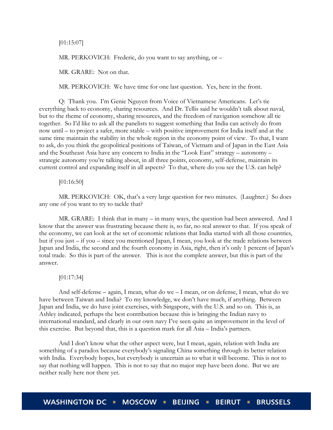[01:15:07]

MR. PERKOVICH: Frederic, do you want to say anything, or -

MR. GRARE: Not on that.

MR. PERKOVICH: We have time for one last question. Yes, here in the front.

Q: Thank you. I'm Genie Nguyen from Voice of Vietnamese Americans. Let's tie everything back to economy, sharing resources. And Dr. Tellis said he wouldn't talk about naval, but to the theme of economy, sharing resources, and the freedom of navigation somehow all tie together. So I'd like to ask all the panelists to suggest something that India can actively do from now until – to project a safer, more stable – with positive improvement for India itself and at the same time maintain the stability in the whole region in the economy point of view. To that, I want to ask, do you think the geopolitical positions of Taiwan, of Vietnam and of Japan in the East Asia and the Southeast Asia have any concern to India in the "Look East" strategy – autonomy – strategic autonomy you're talking about, in all three points, economy, self-defense, maintain its current control and expanding itself in all aspects? To that, where do you see the U.S. can help?

# [01:16:50]

MR. PERKOVICH: OK, that's a very large question for two minutes. (Laughter.) So does any one of you want to try to tackle that?

MR. GRARE: I think that in many – in many ways, the question had been answered. And I know that the answer was frustrating because there is, so far, no real answer to that. If you speak of the economy, we can look at the set of economic relations that India started with all those countries, but if you just – if you – since you mentioned Japan, I mean, you look at the trade relations between Japan and India, the second and the fourth economy in Asia, right, then it's only 1 percent of Japan's total trade. So this is part of the answer. This is not the complete answer, but this is part of the answer.

#### [01:17:34]

And self-defense – again, I mean, what do we – I mean, or on defense, I mean, what do we have between Taiwan and India? To my knowledge, we don't have much, if anything. Between Japan and India, we do have joint exercises, with Singapore, with the U.S. and so on. This is, as Ashley indicated, perhaps the best contribution because this is bringing the Indian navy to international standard, and clearly in our own navy I've seen quite an improvement in the level of this exercise. But beyond that, this is a question mark for all Asia – India's partners.

And I don't know what the other aspect were, but I mean, again, relation with India are something of a paradox because everybody's signaling China something through its better relation with India. Everybody hopes, but everybody is uncertain as to what it will become. This is not to say that nothing will happen. This is not to say that no major step have been done. But we are neither really here nor there yet.